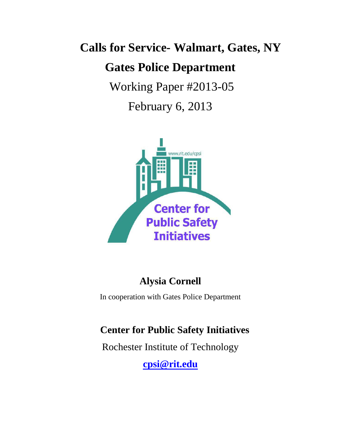# **Calls for Service- Walmart, Gates, NY Gates Police Department**

Working Paper #2013-05

February 6, 2013



# **Alysia Cornell**

In cooperation with Gates Police Department

# **Center for Public Safety Initiatives**

Rochester Institute of Technology

**[cpsi@rit.edu](file:///C:/Users/gdbgcj/AppData/Local/Microsoft/Windows/Temporary%20Internet%20Files/Content.Outlook/EJMNU1KQ/cpsi@rit.edu)**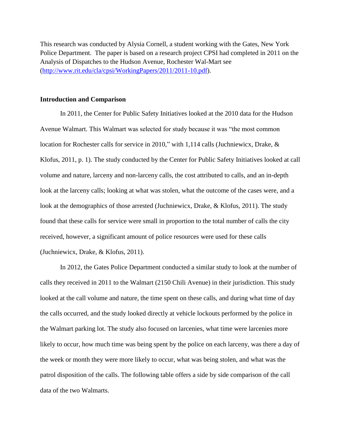This research was conducted by Alysia Cornell, a student working with the Gates, New York Police Department. The paper is based on a research project CPSI had completed in 2011 on the Analysis of Dispatches to the Hudson Avenue, Rochester Wal-Mart see [\(http://www.rit.edu/cla/cpsi/WorkingPapers/2011/2011-10.pdf\)](http://www.rit.edu/cla/cpsi/WorkingPapers/2011/2011-10.pdf).

#### **Introduction and Comparison**

In 2011, the Center for Public Safety Initiatives looked at the 2010 data for the Hudson Avenue Walmart. This Walmart was selected for study because it was "the most common location for Rochester calls for service in 2010," with 1,114 calls (Juchniewicx, Drake, & Klofus, 2011, p. 1). The study conducted by the Center for Public Safety Initiatives looked at call volume and nature, larceny and non-larceny calls, the cost attributed to calls, and an in-depth look at the larceny calls; looking at what was stolen, what the outcome of the cases were, and a look at the demographics of those arrested (Juchniewicx, Drake, & Klofus, 2011). The study found that these calls for service were small in proportion to the total number of calls the city received, however, a significant amount of police resources were used for these calls (Juchniewicx, Drake, & Klofus, 2011).

In 2012, the Gates Police Department conducted a similar study to look at the number of calls they received in 2011 to the Walmart (2150 Chili Avenue) in their jurisdiction. This study looked at the call volume and nature, the time spent on these calls, and during what time of day the calls occurred, and the study looked directly at vehicle lockouts performed by the police in the Walmart parking lot. The study also focused on larcenies, what time were larcenies more likely to occur, how much time was being spent by the police on each larceny, was there a day of the week or month they were more likely to occur, what was being stolen, and what was the patrol disposition of the calls. The following table offers a side by side comparison of the call data of the two Walmarts.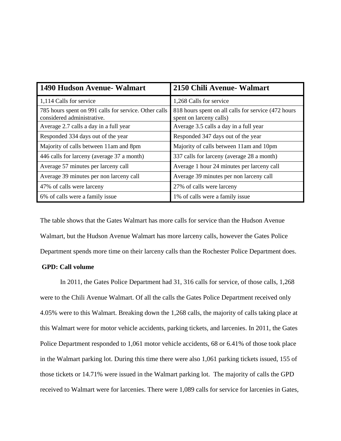| 1490 Hudson Avenue- Walmart                                                         | 2150 Chili Avenue- Walmart                                                     |
|-------------------------------------------------------------------------------------|--------------------------------------------------------------------------------|
| 1,114 Calls for service                                                             | 1,268 Calls for service                                                        |
| 785 hours spent on 991 calls for service. Other calls<br>considered administrative. | 818 hours spent on all calls for service (472 hours<br>spent on larceny calls) |
| Average 2.7 calls a day in a full year                                              | Average 3.5 calls a day in a full year                                         |
| Responded 334 days out of the year                                                  | Responded 347 days out of the year                                             |
| Majority of calls between 11am and 8pm                                              | Majority of calls between 11am and 10pm                                        |
| 446 calls for larceny (average 37 a month)                                          | 337 calls for larceny (average 28 a month)                                     |
| Average 57 minutes per larceny call                                                 | Average 1 hour 24 minutes per larceny call                                     |
| Average 39 minutes per non larceny call                                             | Average 39 minutes per non larceny call                                        |
| 47% of calls were larceny                                                           | 27% of calls were larceny                                                      |
| 6% of calls were a family issue                                                     | 1% of calls were a family issue                                                |

The table shows that the Gates Walmart has more calls for service than the Hudson Avenue Walmart, but the Hudson Avenue Walmart has more larceny calls, however the Gates Police Department spends more time on their larceny calls than the Rochester Police Department does.

# **GPD: Call volume**

In 2011, the Gates Police Department had 31, 316 calls for service, of those calls, 1,268 were to the Chili Avenue Walmart. Of all the calls the Gates Police Department received only 4.05% were to this Walmart. Breaking down the 1,268 calls, the majority of calls taking place at this Walmart were for motor vehicle accidents, parking tickets, and larcenies. In 2011, the Gates Police Department responded to 1,061 motor vehicle accidents, 68 or 6.41% of those took place in the Walmart parking lot. During this time there were also 1,061 parking tickets issued, 155 of those tickets or 14.71% were issued in the Walmart parking lot. The majority of calls the GPD received to Walmart were for larcenies. There were 1,089 calls for service for larcenies in Gates,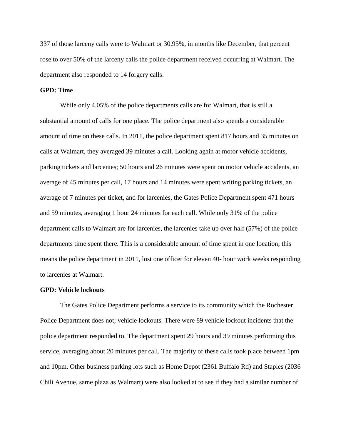337 of those larceny calls were to Walmart or 30.95%, in months like December, that percent rose to over 50% of the larceny calls the police department received occurring at Walmart. The department also responded to 14 forgery calls.

#### **GPD: Time**

While only 4.05% of the police departments calls are for Walmart, that is still a substantial amount of calls for one place. The police department also spends a considerable amount of time on these calls. In 2011, the police department spent 817 hours and 35 minutes on calls at Walmart, they averaged 39 minutes a call. Looking again at motor vehicle accidents, parking tickets and larcenies; 50 hours and 26 minutes were spent on motor vehicle accidents, an average of 45 minutes per call, 17 hours and 14 minutes were spent writing parking tickets, an average of 7 minutes per ticket, and for larcenies, the Gates Police Department spent 471 hours and 59 minutes, averaging 1 hour 24 minutes for each call. While only 31% of the police department calls to Walmart are for larcenies, the larcenies take up over half (57%) of the police departments time spent there. This is a considerable amount of time spent in one location; this means the police department in 2011, lost one officer for eleven 40- hour work weeks responding to larcenies at Walmart.

#### **GPD: Vehicle lockouts**

The Gates Police Department performs a service to its community which the Rochester Police Department does not; vehicle lockouts. There were 89 vehicle lockout incidents that the police department responded to. The department spent 29 hours and 39 minutes performing this service, averaging about 20 minutes per call. The majority of these calls took place between 1pm and 10pm. Other business parking lots such as Home Depot (2361 Buffalo Rd) and Staples (2036 Chili Avenue, same plaza as Walmart) were also looked at to see if they had a similar number of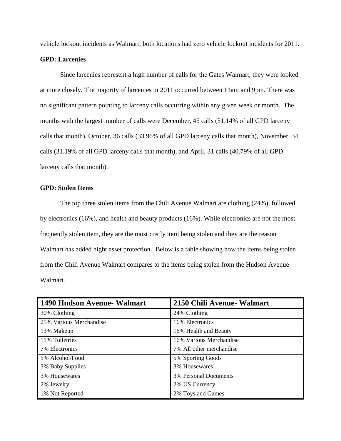vehicle lockout incidents as Walmart; both locations had zero vehicle lockout incidents for 2011.

## **GPD: Larcenies**

Since larcenies represent a high number of calls for the Gates Walmart, they were looked at more closely. The majority of larcenies in 2011 occurred between 11am and 9pm. There was no significant pattern pointing to larceny calls occurring within any given week or month. The months with the largest number of calls were December, 45 calls (51.14% of all GPD larceny calls that month), October, 36 calls (33.96% of all GPD larceny calls that month), November, 34 calls (31.19% of all GPD larceny calls that month), and April, 31 calls (40.79% of all GPD larceny calls that month).

# **GPD: Stolen Items**

The top three stolen items from the Chili Avenue Walmart are clothing (24%), followed by electronics (16%), and health and beauty products (16%). While electronics are not the most frequently stolen item, they are the most costly item being stolen and they are the reason Walmart has added night asset protection. Below is a table showing how the items being stolen from the Chili Avenue Walmart compares to the items being stolen from the Hudson Avenue Walmart.

| 1490 Hudson Avenue- Walmart | 2150 Chili Avenue- Walmart |
|-----------------------------|----------------------------|
| 30% Clothing                | 24% Clothing               |
| 25% Various Merchandise     | 16% Electronics            |
| 13% Makeup                  | 16% Health and Beauty      |
| 11% Toiletries              | 16% Various Merchandise    |
| 7% Electronics              | 7% All other merchandise   |
| 5% Alcohol/Food             | 5% Sporting Goods          |
| 3% Baby Supplies            | 3% Housewares              |
| 3% Housewares               | 3% Personal Documents      |
| 2% Jewelry                  | 2% US Currency             |
| 1% Not Reported             | 2% Toys and Games          |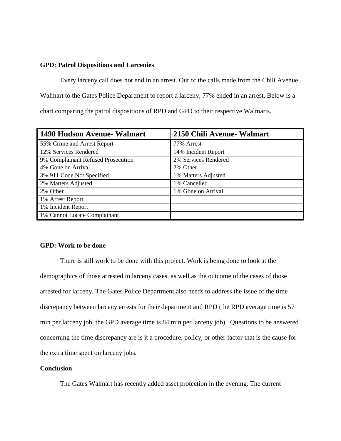#### **GPD: Patrol Dispositions and Larcenies**

Every larceny call does not end in an arrest. Out of the calls made from the Chili Avenue Walmart to the Gates Police Department to report a larceny, 77% ended in an arrest. Below is a chart comparing the patrol dispositions of RPD and GPD to their respective Walmarts.

| 1490 Hudson Avenue- Walmart        | 2150 Chili Avenue- Walmart |
|------------------------------------|----------------------------|
| 55% Crime and Arrest Report        | 77% Arrest                 |
| 12% Services Rendered              | 14% Incident Report        |
| 9% Complainant Refused Prosecution | 2% Services Rendered       |
| 4% Gone on Arrival                 | 2% Other                   |
| 3% 911 Code Not Specified          | 1% Matters Adjusted        |
| 2% Matters Adjusted                | 1% Cancelled               |
| 2% Other                           | 1% Gone on Arrival         |
| 1% Arrest Report                   |                            |
| 1% Incident Report                 |                            |
| 1% Cannot Locate Complainant       |                            |

## **GPD: Work to be done**

There is still work to be done with this project. Work is being done to look at the demographics of those arrested in larceny cases, as well as the outcome of the cases of those arrested for larceny. The Gates Police Department also needs to address the issue of the time discrepancy between larceny arrests for their department and RPD (the RPD average time is 57 min per larceny job, the GPD average time is 84 min per larceny job). Questions to be answered concerning the time discrepancy are is it a procedure, policy, or other factor that is the cause for the extra time spent on larceny jobs.

#### **Conclusion**

The Gates Walmart has recently added asset protection in the evening. The current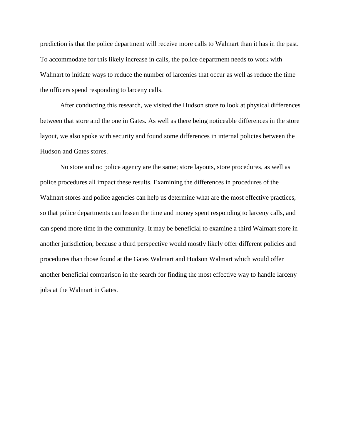prediction is that the police department will receive more calls to Walmart than it has in the past. To accommodate for this likely increase in calls, the police department needs to work with Walmart to initiate ways to reduce the number of larcenies that occur as well as reduce the time the officers spend responding to larceny calls.

After conducting this research, we visited the Hudson store to look at physical differences between that store and the one in Gates. As well as there being noticeable differences in the store layout, we also spoke with security and found some differences in internal policies between the Hudson and Gates stores.

No store and no police agency are the same; store layouts, store procedures, as well as police procedures all impact these results. Examining the differences in procedures of the Walmart stores and police agencies can help us determine what are the most effective practices, so that police departments can lessen the time and money spent responding to larceny calls, and can spend more time in the community. It may be beneficial to examine a third Walmart store in another jurisdiction, because a third perspective would mostly likely offer different policies and procedures than those found at the Gates Walmart and Hudson Walmart which would offer another beneficial comparison in the search for finding the most effective way to handle larceny jobs at the Walmart in Gates.